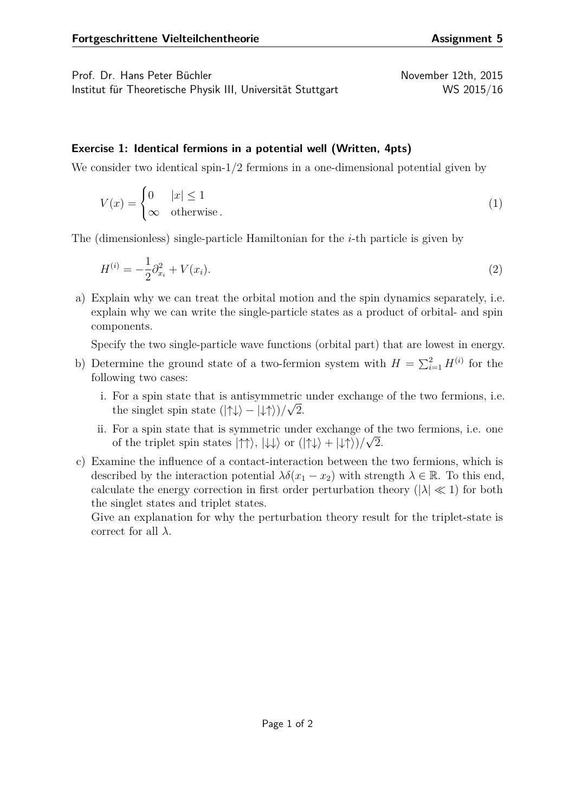Prof. Dr. Hans Peter Büchler November 12th, 2015 Institut für Theoretische Physik III, Universität Stuttgart WS 2015/16

## **Exercise 1: Identical fermions in a potential well (Written, 4pts)**

We consider two identical spin-1/2 fermions in a one-dimensional potential given by

$$
V(x) = \begin{cases} 0 & |x| \le 1 \\ \infty & \text{otherwise} \end{cases}
$$
 (1)

The (dimensionless) single-particle Hamiltonian for the *i*-th particle is given by

$$
H^{(i)} = -\frac{1}{2}\partial_{x_i}^2 + V(x_i). \tag{2}
$$

a) Explain why we can treat the orbital motion and the spin dynamics separately, i.e. explain why we can write the single-particle states as a product of orbital- and spin components.

Specify the two single-particle wave functions (orbital part) that are lowest in energy.

- b) Determine the ground state of a two-fermion system with  $H = \sum_{i=1}^{2} H^{(i)}$  for the following two cases:
	- i. For a spin state that is antisymmetric under exchange of the two fermions, i.e. the singlet spin state  $(|\uparrow\downarrow\rangle - |\downarrow\uparrow\rangle)/\sqrt{2}$ .
	- ii. For a spin state that is symmetric under exchange of the two fermions, i.e. one of the triplet spin states  $|\uparrow\uparrow\rangle$ ,  $|\downarrow\downarrow\rangle$  or  $(|\uparrow\downarrow\rangle + |\downarrow\uparrow\rangle)/\sqrt{2}$ .
- c) Examine the influence of a contact-interaction between the two fermions, which is described by the interaction potential  $\lambda \delta(x_1 - x_2)$  with strength  $\lambda \in \mathbb{R}$ . To this end, calculate the energy correction in first order perturbation theory ( $|\lambda| \ll 1$ ) for both the singlet states and triplet states.

Give an explanation for why the perturbation theory result for the triplet-state is correct for all *λ*.